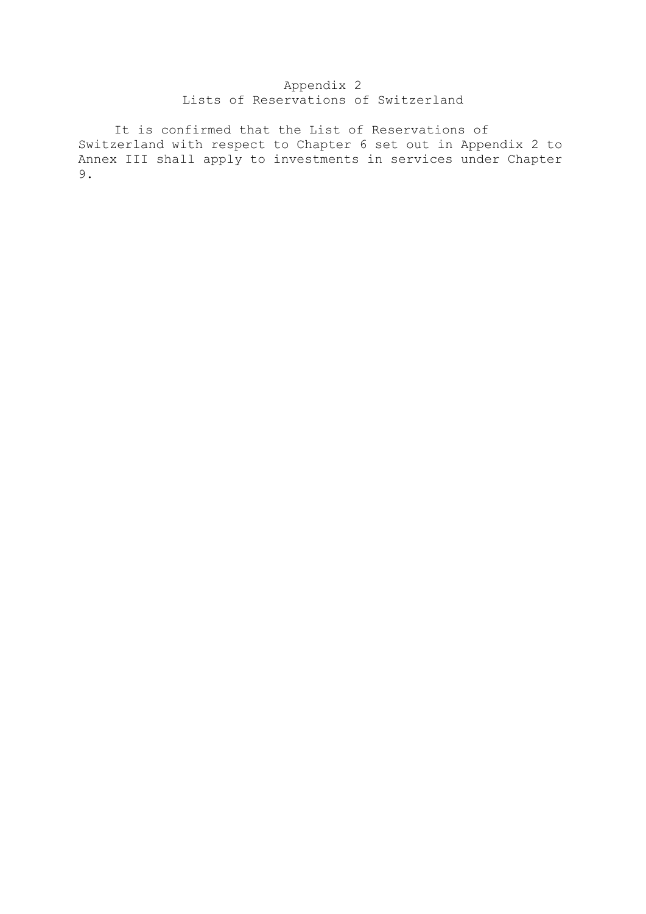## Appendix 2 Lists of Reservations of Switzerland

 It is confirmed that the List of Reservations of Switzerland with respect to Chapter 6 set out in Appendix 2 to Annex III shall apply to investments in services under Chapter 9.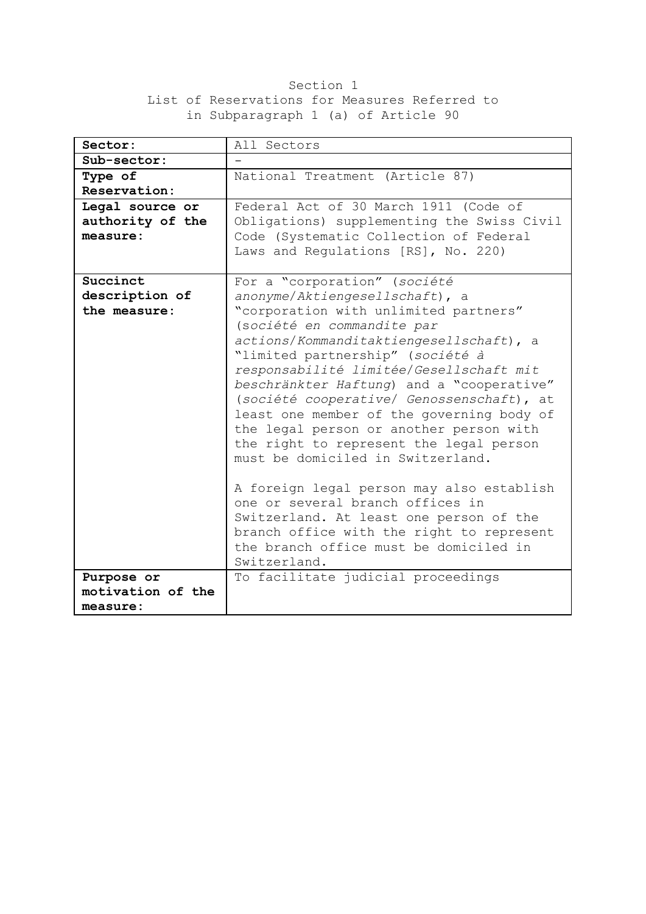## Section 1 List of Reservations for Measures Referred to in Subparagraph 1 (a) of Article 90

| Sector:           | All Sectors                                            |
|-------------------|--------------------------------------------------------|
| Sub-sector:       |                                                        |
| Type of           | National Treatment (Article 87)                        |
| Reservation:      |                                                        |
| Legal source or   | Federal Act of 30 March 1911 (Code of                  |
| authority of the  | Obligations) supplementing the Swiss Civil             |
| measure:          | Code (Systematic Collection of Federal                 |
|                   | Laws and Regulations [RS], No. 220)                    |
|                   |                                                        |
| Succinct          | For a "corporation" (société                           |
| description of    | anonyme/Aktiengesellschaft), a                         |
| the measure:      | "corporation with unlimited partners"                  |
|                   | (société en commandite par                             |
|                   | actions/Kommanditaktiengesellschaft), a                |
|                   | "limited partnership" (société à                       |
|                   | responsabilité limitée/Gesellschaft mit                |
|                   | beschränkter Haftung) and a "cooperative"              |
|                   | (société cooperative/ Genossenschaft), at              |
|                   | least one member of the governing body of              |
|                   | the legal person or another person with                |
|                   | the right to represent the legal person                |
|                   | must be domiciled in Switzerland.                      |
|                   |                                                        |
|                   | A foreign legal person may also establish              |
|                   | one or several branch offices in                       |
|                   | Switzerland. At least one person of the                |
|                   | branch office with the right to represent              |
|                   | the branch office must be domiciled in<br>Switzerland. |
|                   |                                                        |
| Purpose or        | To facilitate judicial proceedings                     |
| motivation of the |                                                        |
| measure:          |                                                        |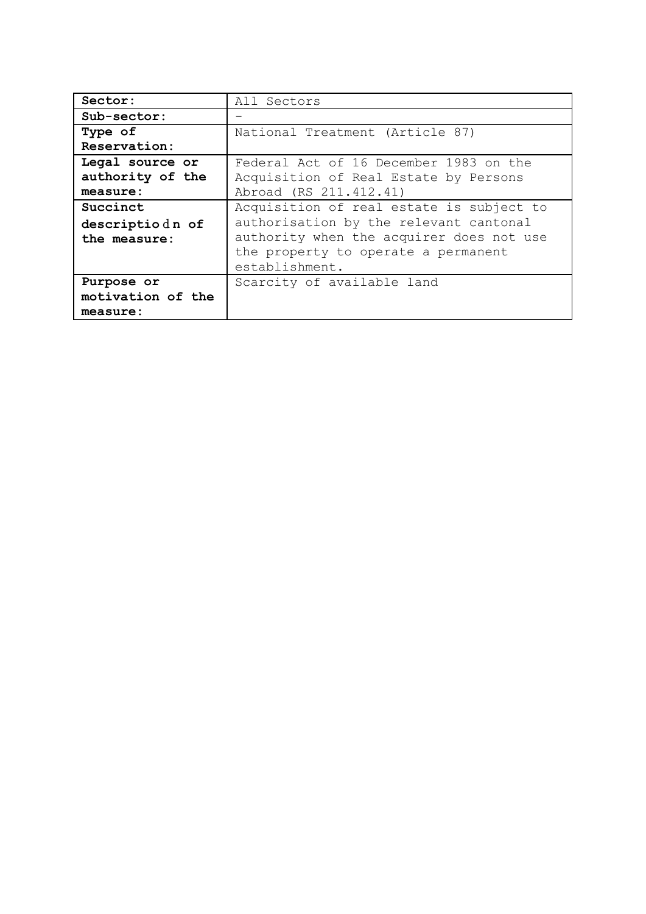| Sector:           | All Sectors                              |
|-------------------|------------------------------------------|
| Sub-sector:       |                                          |
| Type of           | National Treatment (Article 87)          |
| Reservation:      |                                          |
| Legal source or   | Federal Act of 16 December 1983 on the   |
| authority of the  | Acquisition of Real Estate by Persons    |
| measure:          | Abroad (RS 211.412.41)                   |
| Succinct          | Acquisition of real estate is subject to |
| descriptiodn of   | authorisation by the relevant cantonal   |
| the measure:      | authority when the acquirer does not use |
|                   | the property to operate a permanent      |
|                   | establishment.                           |
| Purpose or        | Scarcity of available land               |
| motivation of the |                                          |
| measure:          |                                          |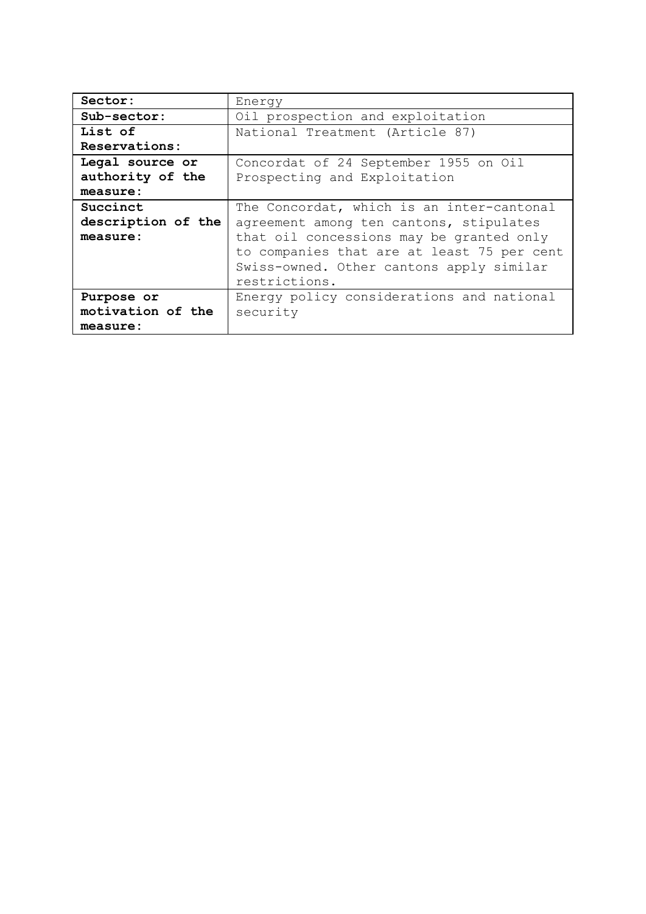| Sector:            | Energy                                     |
|--------------------|--------------------------------------------|
| Sub-sector:        | Oil prospection and exploitation           |
| List of            | National Treatment (Article 87)            |
| Reservations:      |                                            |
| Legal source or    | Concordat of 24 September 1955 on Oil      |
| authority of the   | Prospecting and Exploitation               |
| measure:           |                                            |
| Succinct           | The Concordat, which is an inter-cantonal  |
| description of the | agreement among ten cantons, stipulates    |
| measure:           | that oil concessions may be granted only   |
|                    | to companies that are at least 75 per cent |
|                    | Swiss-owned. Other cantons apply similar   |
|                    | restrictions.                              |
| Purpose or         | Energy policy considerations and national  |
| motivation of the  | security                                   |
| measure:           |                                            |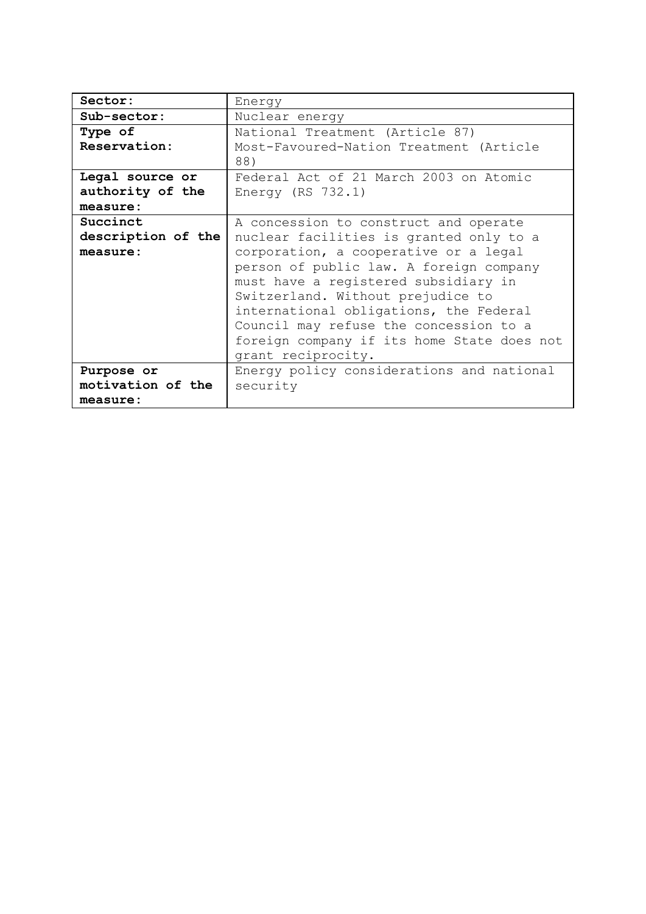| Sector:            | Energy                                     |
|--------------------|--------------------------------------------|
| Sub-sector:        | Nuclear energy                             |
| Type of            | National Treatment (Article 87)            |
| Reservation:       | Most-Favoured-Nation Treatment (Article    |
|                    | 88)                                        |
| Legal source or    | Federal Act of 21 March 2003 on Atomic     |
| authority of the   | Energy (RS $732.1$ )                       |
| measure:           |                                            |
| Succinct           | A concession to construct and operate      |
| description of the | nuclear facilities is granted only to a    |
| measure:           | corporation, a cooperative or a legal      |
|                    | person of public law. A foreign company    |
|                    | must have a registered subsidiary in       |
|                    | Switzerland. Without prejudice to          |
|                    | international obligations, the Federal     |
|                    | Council may refuse the concession to a     |
|                    | foreign company if its home State does not |
|                    | grant reciprocity.                         |
| Purpose or         | Energy policy considerations and national  |
| motivation of the  | security                                   |
| measure:           |                                            |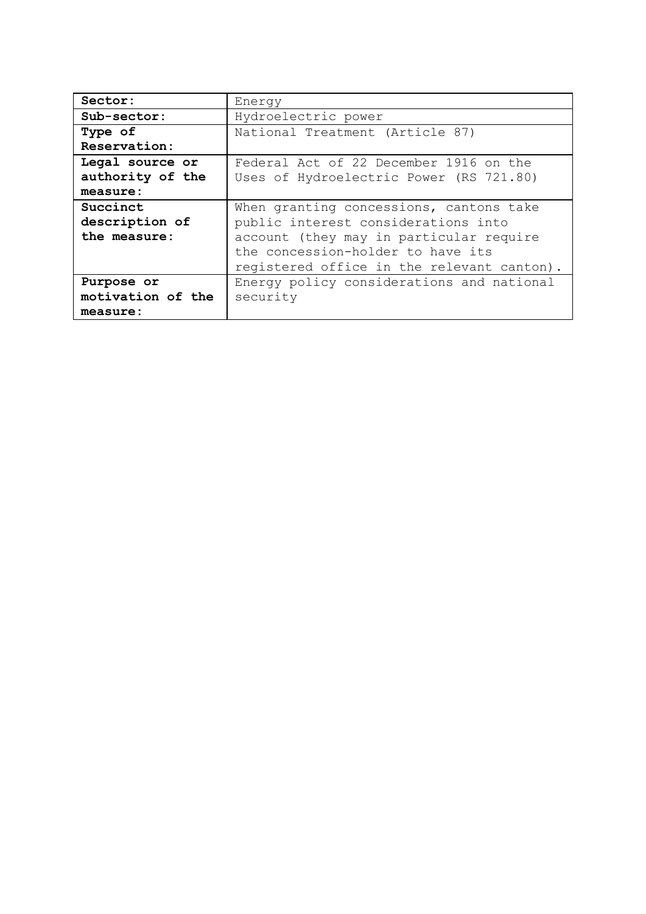| Sector:           | Energy                                     |
|-------------------|--------------------------------------------|
| Sub-sector:       | Hydroelectric power                        |
| Type of           | National Treatment (Article 87)            |
| Reservation:      |                                            |
| Legal source or   | Federal Act of 22 December 1916 on the     |
| authority of the  | Uses of Hydroelectric Power (RS 721.80)    |
| measure:          |                                            |
| Succinct          | When granting concessions, cantons take    |
| description of    | public interest considerations into        |
| the measure:      | account (they may in particular require    |
|                   | the concession-holder to have its          |
|                   | registered office in the relevant canton). |
| Purpose or        | Energy policy considerations and national  |
| motivation of the | security                                   |
| measure:          |                                            |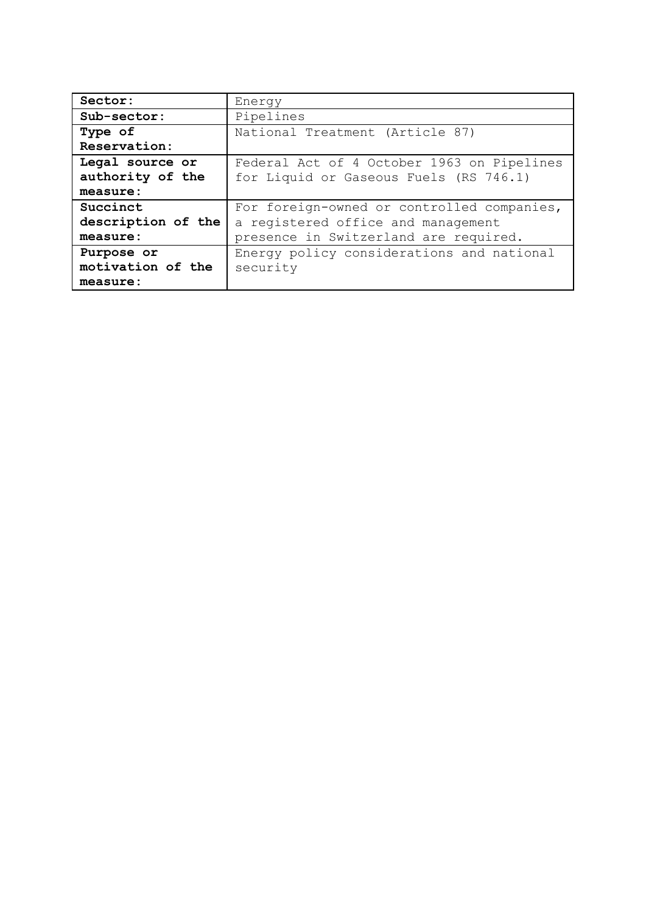| Sector:            | Energy                                     |
|--------------------|--------------------------------------------|
| Sub-sector:        | Pipelines                                  |
| Type of            | National Treatment (Article 87)            |
| Reservation:       |                                            |
| Legal source or    | Federal Act of 4 October 1963 on Pipelines |
| authority of the   | for Liquid or Gaseous Fuels (RS 746.1)     |
| measure:           |                                            |
| Succinct           | For foreign-owned or controlled companies, |
| description of the | a registered office and management         |
| measure:           | presence in Switzerland are required.      |
| Purpose or         | Energy policy considerations and national  |
| motivation of the  | security                                   |
| measure:           |                                            |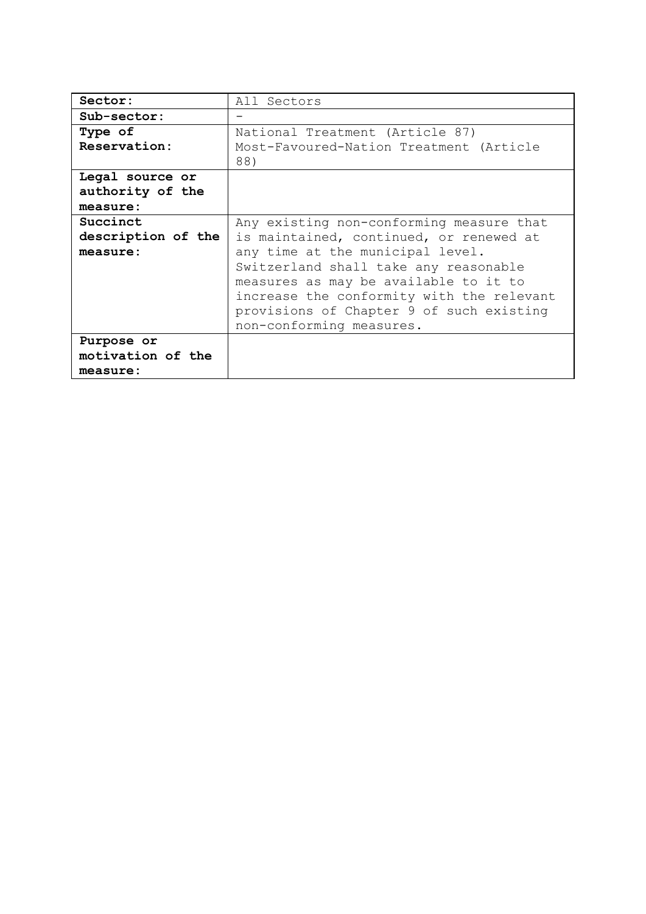| Sector:            | All Sectors                               |
|--------------------|-------------------------------------------|
| $Sub-sector:$      |                                           |
| Type of            | National Treatment (Article 87)           |
| Reservation:       | Most-Favoured-Nation Treatment (Article   |
|                    | 88)                                       |
| Legal source or    |                                           |
| authority of the   |                                           |
| measure:           |                                           |
| Succinct           | Any existing non-conforming measure that  |
| description of the | is maintained, continued, or renewed at   |
| measure:           | any time at the municipal level.          |
|                    | Switzerland shall take any reasonable     |
|                    | measures as may be available to it to     |
|                    | increase the conformity with the relevant |
|                    | provisions of Chapter 9 of such existing  |
|                    | non-conforming measures.                  |
| Purpose or         |                                           |
| motivation of the  |                                           |
| measure:           |                                           |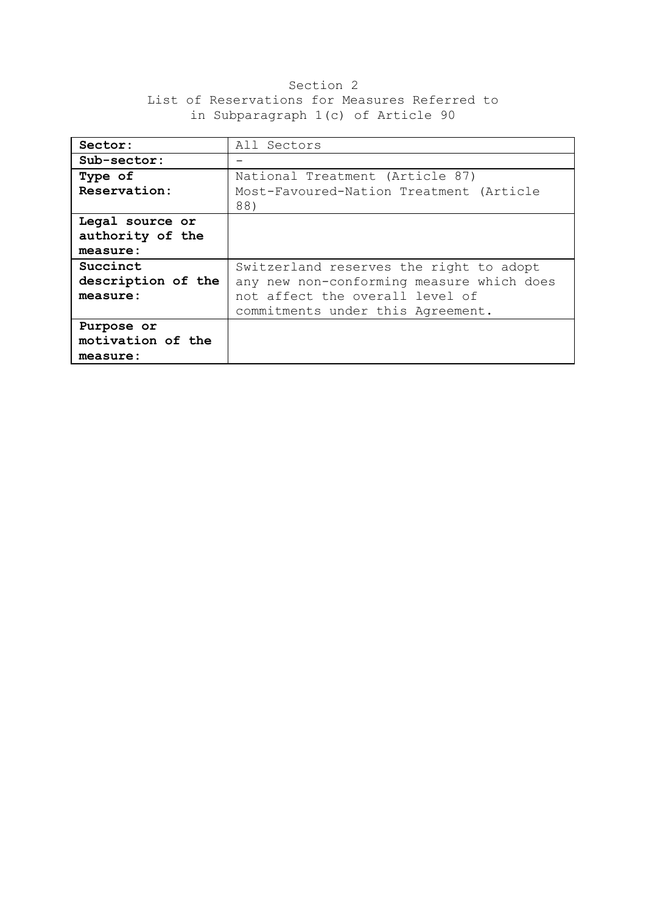## Section 2 List of Reservations for Measures Referred to in Subparagraph 1(c) of Article 90

| Sector:            | All Sectors                               |
|--------------------|-------------------------------------------|
| Sub-sector:        |                                           |
| Type of            | National Treatment (Article 87)           |
| Reservation:       | Most-Favoured-Nation Treatment (Article   |
|                    | 88)                                       |
| Legal source or    |                                           |
| authority of the   |                                           |
| measure:           |                                           |
| Succinct           | Switzerland reserves the right to adopt   |
| description of the | any new non-conforming measure which does |
| measure:           | not affect the overall level of           |
|                    | commitments under this Agreement.         |
| Purpose or         |                                           |
| motivation of the  |                                           |
| measure:           |                                           |